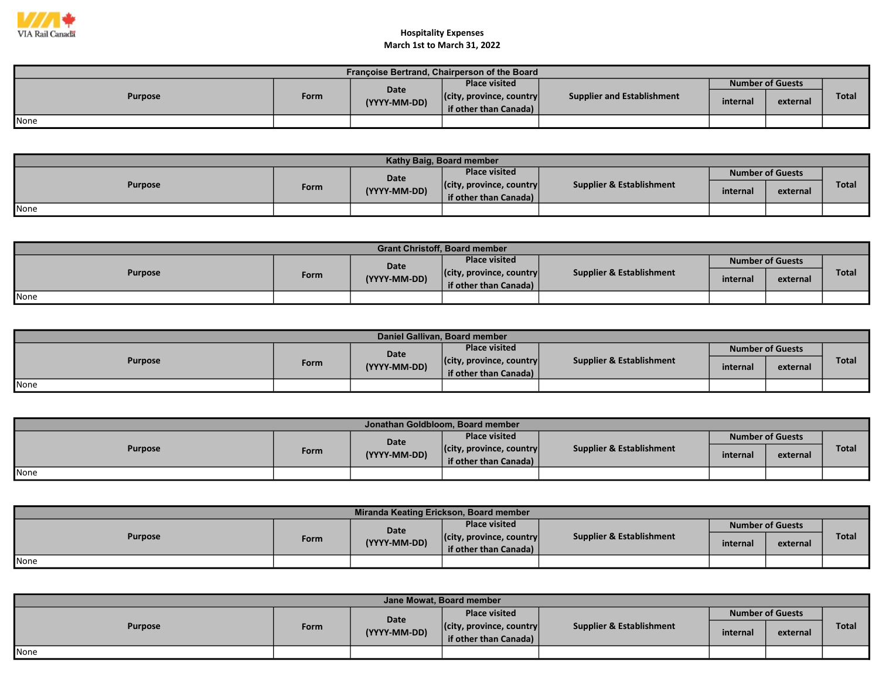

| Françoise Bertrand, Chairperson of the Board |      |                      |                                  |                            |          |                         |              |  |  |  |
|----------------------------------------------|------|----------------------|----------------------------------|----------------------------|----------|-------------------------|--------------|--|--|--|
| <b>Purpose</b>                               |      | Date<br>(YYYY-MM-DD) | <b>Place visited</b>             |                            |          | <b>Number of Guests</b> |              |  |  |  |
|                                              | Form |                      | $ $ (city, province, country $ $ | Supplier and Establishment | internal | external                | <b>Total</b> |  |  |  |
|                                              |      |                      | <b>if other than Canada)</b>     |                            |          |                         |              |  |  |  |
| <b>None</b>                                  |      |                      |                                  |                            |          |                         |              |  |  |  |

| Kathy Baig, Board member |      |              |                                  |                                     |                         |          |              |  |  |  |
|--------------------------|------|--------------|----------------------------------|-------------------------------------|-------------------------|----------|--------------|--|--|--|
| <b>Purpose</b>           |      | Date         | <b>Place visited</b>             |                                     | <b>Number of Guests</b> |          |              |  |  |  |
|                          | Form | (YYYY-MM-DD) | $ $ (city, province, country $ $ | <b>Supplier &amp; Establishment</b> | internal                | external | <b>Total</b> |  |  |  |
|                          |      |              | if other than Canada)            |                                     |                         |          |              |  |  |  |
| None                     |      |              |                                  |                                     |                         |          |              |  |  |  |

| <b>Grant Christoff, Board member</b> |      |              |                                  |                                     |                         |          |              |  |  |  |
|--------------------------------------|------|--------------|----------------------------------|-------------------------------------|-------------------------|----------|--------------|--|--|--|
| <b>Purpose</b>                       |      | Date         | <b>Place visited</b>             | <b>Supplier &amp; Establishment</b> | <b>Number of Guests</b> |          |              |  |  |  |
|                                      | Form | (YYYY-MM-DD) | $ $ (city, province, country $ $ |                                     | internal                | external | <b>Total</b> |  |  |  |
|                                      |      |              | if other than Canada)            |                                     |                         |          |              |  |  |  |
| None                                 |      |              |                                  |                                     |                         |          |              |  |  |  |

| Daniel Gallivan, Board member |      |              |                                  |                                     |                         |          |       |  |  |  |
|-------------------------------|------|--------------|----------------------------------|-------------------------------------|-------------------------|----------|-------|--|--|--|
| <b>Purpose</b>                |      | Date         | <b>Place visited</b>             | <b>Supplier &amp; Establishment</b> | <b>Number of Guests</b> |          |       |  |  |  |
|                               | Form | (YYYY-MM-DD) | $ $ (city, province, country $ $ |                                     | internal                | external | Total |  |  |  |
|                               |      |              | if other than Canada)            |                                     |                         |          |       |  |  |  |
| None                          |      |              |                                  |                                     |                         |          |       |  |  |  |

| Jonathan Goldbloom, Board member |      |              |                                  |                                     |                         |          |              |  |  |
|----------------------------------|------|--------------|----------------------------------|-------------------------------------|-------------------------|----------|--------------|--|--|
| <b>Purpose</b>                   |      | Date         | <b>Place visited</b>             |                                     | <b>Number of Guests</b> |          |              |  |  |
|                                  | Form | (YYYY-MM-DD) | $ $ (city, province, country $ $ | <b>Supplier &amp; Establishment</b> | internal                | external | <b>Total</b> |  |  |
|                                  |      |              | if other than Canada)            |                                     |                         |          |              |  |  |
| <b>I</b> None                    |      |              |                                  |                                     |                         |          |              |  |  |

| Miranda Keating Erickson, Board member |      |              |                                  |                                     |          |                         |              |  |  |  |
|----------------------------------------|------|--------------|----------------------------------|-------------------------------------|----------|-------------------------|--------------|--|--|--|
| <b>Purpose</b>                         |      | <b>Date</b>  | <b>Place visited</b>             |                                     |          | <b>Number of Guests</b> |              |  |  |  |
|                                        | Form | (YYYY-MM-DD) | $ $ (city, province, country $ $ | <b>Supplier &amp; Establishment</b> | internal | external                | <b>Total</b> |  |  |  |
|                                        |      |              | if other than Canada)            |                                     |          |                         |              |  |  |  |
| None                                   |      |              |                                  |                                     |          |                         |              |  |  |  |

| Jane Mowat, Board member |      |                      |                                                           |                          |                         |          |              |  |  |
|--------------------------|------|----------------------|-----------------------------------------------------------|--------------------------|-------------------------|----------|--------------|--|--|
|                          |      |                      | <b>Place visited</b>                                      |                          | <b>Number of Guests</b> |          |              |  |  |
| <b>Purpose</b>           | Form | Date<br>(YYYY-MM-DD) | $ $ (city, province, country $ $<br>if other than Canada) | Supplier & Establishment | internal                | external | <b>Total</b> |  |  |
| None                     |      |                      |                                                           |                          |                         |          |              |  |  |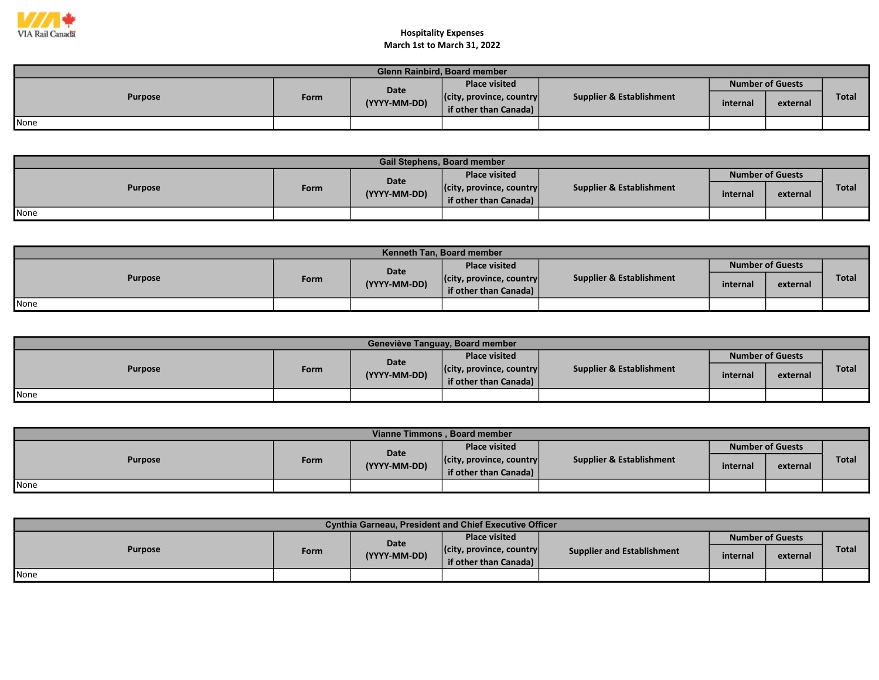

| <b>Glenn Rainbird, Board member</b> |      |              |                                  |                                     |                         |          |       |  |  |
|-------------------------------------|------|--------------|----------------------------------|-------------------------------------|-------------------------|----------|-------|--|--|
| <b>Purpose</b>                      |      | Date         | <b>Place visited</b>             |                                     | <b>Number of Guests</b> |          |       |  |  |
|                                     | Form | (YYYY-MM-DD) | $ $ (city, province, country $ $ | <b>Supplier &amp; Establishment</b> | internal                | external | Total |  |  |
|                                     |      |              | if other than Canada)            |                                     |                         |          |       |  |  |
| None                                |      |              |                                  |                                     |                         |          |       |  |  |

| <b>Gail Stephens, Board member</b> |      |              |                                  |                                     |                         |          |              |  |  |  |
|------------------------------------|------|--------------|----------------------------------|-------------------------------------|-------------------------|----------|--------------|--|--|--|
| <b>Purpose</b>                     |      | Date         | <b>Place visited</b>             | <b>Supplier &amp; Establishment</b> | <b>Number of Guests</b> |          |              |  |  |  |
|                                    | Form | (YYYY-MM-DD) | $ $ (city, province, country $ $ |                                     | internal                | external | <b>Total</b> |  |  |  |
|                                    |      |              | if other than Canada)            |                                     |                         |          |              |  |  |  |
| None                               |      |              |                                  |                                     |                         |          |              |  |  |  |

| <b>Kenneth Tan. Board member</b> |             |              |                                  |                          |                         |          |              |  |  |  |
|----------------------------------|-------------|--------------|----------------------------------|--------------------------|-------------------------|----------|--------------|--|--|--|
| <b>Purpose</b>                   |             | <b>Date</b>  | <b>Place visited</b>             | Supplier & Establishment | <b>Number of Guests</b> |          |              |  |  |  |
|                                  | <b>Form</b> | (YYYY-MM-DD) | $ $ (city, province, country $ $ |                          | internal                | external | <b>Total</b> |  |  |  |
|                                  |             |              | if other than Canada)            |                          |                         |          |              |  |  |  |
| None                             |             |              |                                  |                          |                         |          |              |  |  |  |

| Geneviève Tanguay, Board member |      |              |                                                           |                                     |                         |          |              |  |  |  |
|---------------------------------|------|--------------|-----------------------------------------------------------|-------------------------------------|-------------------------|----------|--------------|--|--|--|
| <b>Purpose</b>                  |      | Date         | <b>Place visited</b>                                      |                                     | <b>Number of Guests</b> |          |              |  |  |  |
|                                 | Form | (YYYY-MM-DD) | $ $ (city, province, country $ $<br>if other than Canada) | <b>Supplier &amp; Establishment</b> | internal                | external | <b>Total</b> |  |  |  |
| None                            |      |              |                                                           |                                     |                         |          |              |  |  |  |

| Vianne Timmons, Board member |      |              |                                  |                          |                         |          |              |  |  |  |
|------------------------------|------|--------------|----------------------------------|--------------------------|-------------------------|----------|--------------|--|--|--|
| <b>Purpose</b>               |      | Date         | <b>Place visited</b>             |                          | <b>Number of Guests</b> |          |              |  |  |  |
|                              | Form | (YYYY-MM-DD) | $ $ (city, province, country $ $ | Supplier & Establishment | internal                | external | <b>Total</b> |  |  |  |
|                              |      |              | if other than Canada)            |                          |                         |          |              |  |  |  |
| <b>I</b> None                |      |              |                                  |                          |                         |          |              |  |  |  |

| <b>Cynthia Garneau, President and Chief Executive Officer</b> |      |              |                                                           |                                   |          |                         |              |  |  |
|---------------------------------------------------------------|------|--------------|-----------------------------------------------------------|-----------------------------------|----------|-------------------------|--------------|--|--|
| <b>Purpose</b>                                                |      | Date         | Place visited                                             |                                   |          | <b>Number of Guests</b> |              |  |  |
|                                                               | Form | (YYYY-MM-DD) | $ $ (city, province, country $ $<br>if other than Canada) | <b>Supplier and Establishment</b> | internal | external                | <b>Total</b> |  |  |
| <b>I</b> None                                                 |      |              |                                                           |                                   |          |                         |              |  |  |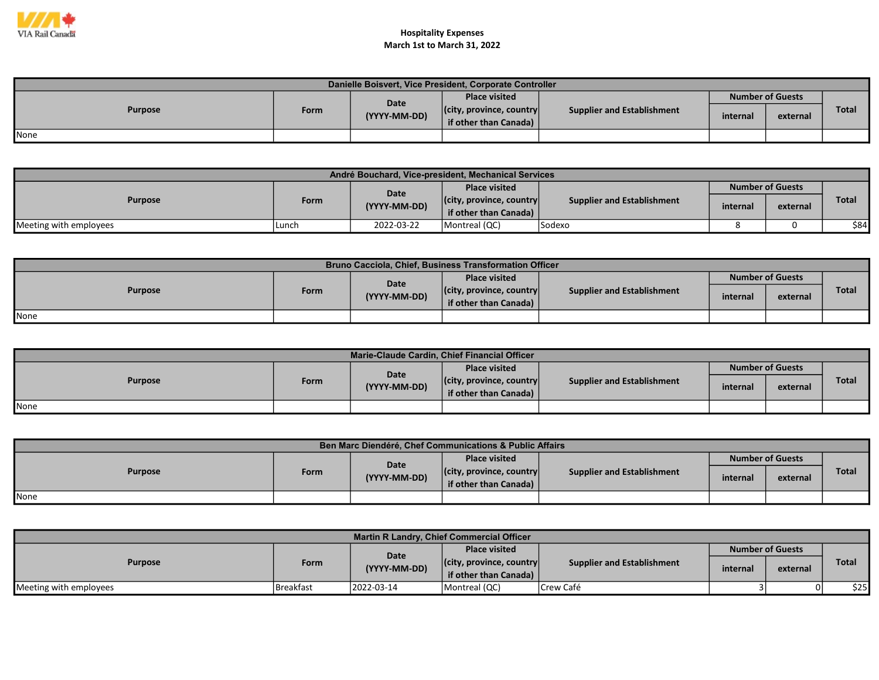

| Danielle Boisvert, Vice President, Corporate Controller |      |              |                                                           |                                   |                         |          |       |  |  |
|---------------------------------------------------------|------|--------------|-----------------------------------------------------------|-----------------------------------|-------------------------|----------|-------|--|--|
|                                                         |      | <b>Date</b>  | <b>Place visited</b>                                      |                                   | <b>Number of Guests</b> |          |       |  |  |
| <b>Purpose</b>                                          | Form | (YYYY-MM-DD) | $ $ (city, province, country $ $<br>if other than Canada) | <b>Supplier and Establishment</b> | internal                | external | Total |  |  |
| None                                                    |      |              |                                                           |                                   |                         |          |       |  |  |

| André Bouchard, Vice-president, Mechanical Services |       |              |                                  |                                   |          |                         |       |  |
|-----------------------------------------------------|-------|--------------|----------------------------------|-----------------------------------|----------|-------------------------|-------|--|
| <b>Purpose</b>                                      |       | <b>Date</b>  | <b>Place visited</b>             |                                   |          | <b>Number of Guests</b> |       |  |
|                                                     | Form  | (YYYY-MM-DD) | $ $ (city, province, country $ $ | <b>Supplier and Establishment</b> | internal | external                | Total |  |
|                                                     |       |              | if other than Canada)            |                                   |          |                         |       |  |
| Meeting with employees                              | Lunch | 2022-03-22   | Montreal (QC)                    | <b>Sodexo</b>                     |          |                         | \$84  |  |

| Bruno Cacciola, Chief, Business Transformation Officer |      |              |                                  |                            |                         |          |       |  |  |
|--------------------------------------------------------|------|--------------|----------------------------------|----------------------------|-------------------------|----------|-------|--|--|
| <b>Purpose</b>                                         |      | <b>Date</b>  | <b>Place visited</b>             |                            | <b>Number of Guests</b> |          |       |  |  |
|                                                        | Form | (YYYY-MM-DD) | $ $ (city, province, country $ $ | Supplier and Establishment | internal                | external | Total |  |  |
|                                                        |      |              | if other than Canada)            |                            |                         |          |       |  |  |
| None                                                   |      |              |                                  |                            |                         |          |       |  |  |

| Marie-Claude Cardin, Chief Financial Officer |      |              |                                  |                                   |          |                         |       |  |  |
|----------------------------------------------|------|--------------|----------------------------------|-----------------------------------|----------|-------------------------|-------|--|--|
| <b>Purpose</b>                               |      | <b>Date</b>  | <b>Place visited</b>             |                                   |          | <b>Number of Guests</b> |       |  |  |
|                                              | Form | (YYYY-MM-DD) | $ $ (city, province, country $ $ | <b>Supplier and Establishment</b> | internal | external                | Total |  |  |
|                                              |      |              | if other than Canada)            |                                   |          |                         |       |  |  |
| <b>I</b> None                                |      |              |                                  |                                   |          |                         |       |  |  |

| Ben Marc Diendéré, Chef Communications & Public Affairs |      |              |                                                                       |          |          |                         |  |  |  |
|---------------------------------------------------------|------|--------------|-----------------------------------------------------------------------|----------|----------|-------------------------|--|--|--|
| <b>Purpose</b>                                          |      | Date         | <b>Place visited</b>                                                  |          |          | <b>Number of Guests</b> |  |  |  |
|                                                         | Form | (YYYY-MM-DD) | $ $ (city, province, country $ $<br><b>Supplier and Establishment</b> | internal | external | <b>Total</b>            |  |  |  |
|                                                         |      |              | if other than Canada)                                                 |          |          |                         |  |  |  |
| <b>None</b>                                             |      |              |                                                                       |          |          |                         |  |  |  |

| <b>Martin R Landry, Chief Commercial Officer</b> |           |              |                                  |                            |                         |          |              |  |  |
|--------------------------------------------------|-----------|--------------|----------------------------------|----------------------------|-------------------------|----------|--------------|--|--|
| <b>Purpose</b>                                   |           | Date         | <b>Place visited</b>             |                            | <b>Number of Guests</b> |          |              |  |  |
|                                                  | Form      | (YYYY-MM-DD) | $ $ (city, province, country $ $ | Supplier and Establishment | internal                |          | <b>Total</b> |  |  |
|                                                  |           |              | if other than Canada)            |                            |                         | external |              |  |  |
| Meeting with employees                           | Breakfast | 2022-03-14   | Montreal (QC)                    | Crew Café                  |                         | 01       | \$25I        |  |  |